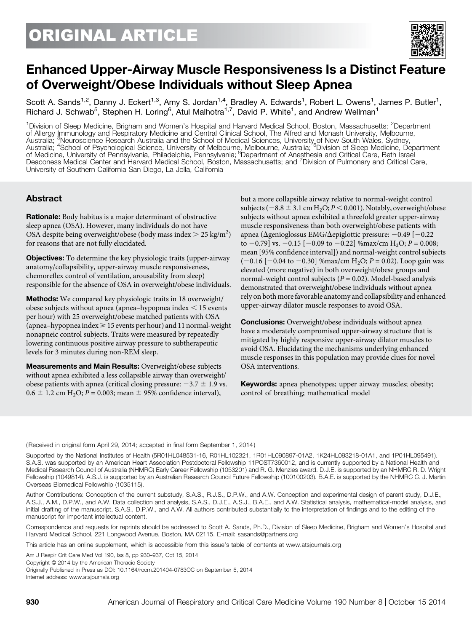

# Enhanced Upper-Airway Muscle Responsiveness Is a Distinct Feature of Overweight/Obese Individuals without Sleep Apnea

Scott A. Sands<sup>1,2</sup>, Danny J. Eckert<sup>1,3</sup>, Amy S. Jordan<sup>1,4</sup>, Bradley A. Edwards<sup>1</sup>, Robert L. Owens<sup>1</sup>, James P. Butler<sup>1</sup>, Richard J. Schwab<sup>5</sup>, Stephen H. Loring<sup>6</sup>, Atul Malhotra<sup>1,7</sup>, David P. White<sup>1</sup>, and Andrew Wellman<sup>1</sup>

<sup>1</sup>Division of Sleep Medicine, Brigham and Women's Hospital and Harvard Medical School, Boston, Massachusetts; <sup>2</sup>Department of Allergy Immunology and Respiratory Medicine and Central Clinical School, The Alfred and Monash University, Melbourne, Australia; <sup>3</sup>Neuroscience Research Australia and the School of Medical Sciences, University of New South Wales, Sydney,<br>Australia; <sup>3</sup>Neuroscience Research Australia and the School of Medical Sciences, University of New S Deaconess Medical Center and Harvard Medical School, Boston, Massachusetts; and <sup>7</sup> Division of Pulmonary and Critical Care, University of Southern California San Diego, La Jolla, California

# Abstract

Rationale: Body habitus is a major determinant of obstructive sleep apnea (OSA). However, many individuals do not have OSA despite being overweight/obese (body mass index  $>$  25 kg/m<sup>2</sup>) for reasons that are not fully elucidated.

**Objectives:** To determine the key physiologic traits (upper-airway anatomy/collapsibility, upper-airway muscle responsiveness, chemoreflex control of ventilation, arousability from sleep) responsible for the absence of OSA in overweight/obese individuals.

Methods: We compared key physiologic traits in 18 overweight/ obese subjects without apnea (apnea–hypopnea index  $<$  15 events per hour) with 25 overweight/obese matched patients with OSA (apnea–hypopnea index  $\geq 15$  events per hour) and 11 normal-weight nonapneic control subjects. Traits were measured by repeatedly lowering continuous positive airway pressure to subtherapeutic levels for 3 minutes during non-REM sleep.

Measurements and Main Results: Overweight/obese subjects without apnea exhibited a less collapsible airway than overweight/ obese patients with apnea (critical closing pressure:  $-3.7 \pm 1.9$  vs.  $0.6 \pm 1.2$  cm H<sub>2</sub>O; *P* = 0.003; mean  $\pm$  95% confidence interval),

but a more collapsible airway relative to normal-weight control subjects ( $-8.8 \pm 3.1$  cm H<sub>2</sub>O;  $P < 0.001$ ). Notably, overweight/obese subjects without apnea exhibited a threefold greater upper-airway muscle responsiveness than both overweight/obese patients with apnea ( $\Delta$ genioglossus EMG/ $\Delta$ epiglottic pressure: -0.49 [-0.22 to  $-0.79$ ] vs.  $-0.15$  [ $-0.09$  to  $-0.22$ ] %max/cm H<sub>2</sub>O; P = 0.008; mean [95% confidence interval]) and normal-weight control subjects  $(-0.16$  [-0.04 to -0.30] %max/cm H<sub>2</sub>O; P = 0.02). Loop gain was elevated (more negative) in both overweight/obese groups and normal-weight control subjects ( $P = 0.02$ ). Model-based analysis demonstrated that overweight/obese individuals without apnea rely on both more favorable anatomy and collapsibility and enhanced upper-airway dilator muscle responses to avoid OSA.

Conclusions: Overweight/obese individuals without apnea have a moderately compromised upper-airway structure that is mitigated by highly responsive upper-airway dilator muscles to avoid OSA. Elucidating the mechanisms underlying enhanced muscle responses in this population may provide clues for novel OSA interventions.

Keywords: apnea phenotypes; upper airway muscles; obesity; control of breathing; mathematical model

(Received in original form April 29, 2014; accepted in final form September 1, 2014 )

Author Contributions: Conception of the current substudy, S.A.S., R.J.S., D.P.W., and A.W. Conception and experimental design of parent study, D.J.E., A.S.J., A.M., D.P.W., and A.W. Data collection and analysis, S.A.S., D.J.E., A.S.J., B.A.E., and A.W. Statistical analysis, mathematical-model analysis, and initial drafting of the manuscript, S.A.S., D.P.W., and A.W. All authors contributed substantially to the interpretation of findings and to the editing of the manuscript for important intellectual content.

Correspondence and requests for reprints should be addressed to Scott A. Sands, Ph.D., Division of Sleep Medicine, Brigham and Women's Hospital and Harvard Medical School, 221 Longwood Avenue, Boston, MA 02115. E-mail: sasands@partners.org

This article has an online supplement, which is accessible from this issue's table of contents at www.atsjournals.org

Am J Respir Crit Care Med Vol 190, Iss 8, pp 930–937, Oct 15, 2014

Copyright © 2014 by the American Thoracic Society

Originally Published in Press as DOI: 10.1164/rccm.201404-0783OC on September 5, 2014 Internet address: www.atsjournals.org

Supported by the National Institutes of Health (5R01HL048531-16, R01HL102321, 1R01HL090897-01A2, 1K24HL093218-01A1, and 1P01HL095491). S.A.S. was supported by an American Heart Association Postdoctoral Fellowship 11POST7360012, and is currently supported by a National Health and Medical Research Council of Australia (NHMRC) Early Career Fellowship (1053201) and R. G. Menzies award. D.J.E. is supported by an NHMRC R. D. Wright Fellowship (1049814). A.S.J. is supported by an Australian Research Council Future Fellowship (100100203). B.A.E. is supported by the NHMRC C. J. Martin Overseas Biomedical Fellowship (1035115).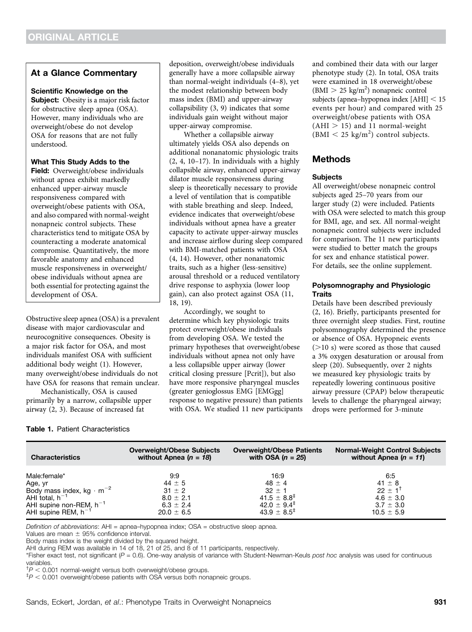## At a Glance Commentary

#### Scientific Knowledge on the

Subject: Obesity is a major risk factor for obstructive sleep apnea (OSA). However, many individuals who are overweight/obese do not develop OSA for reasons that are not fully understood.

#### What This Study Adds to the

Field: Overweight/obese individuals without apnea exhibit markedly enhanced upper-airway muscle responsiveness compared with overweight/obese patients with OSA, and also compared with normal-weight nonapneic control subjects. These characteristics tend to mitigate OSA by counteracting a moderate anatomical compromise. Quantitatively, the more favorable anatomy and enhanced muscle responsiveness in overweight/ obese individuals without apnea are both essential for protecting against the development of OSA.

Obstructive sleep apnea (OSA) is a prevalent disease with major cardiovascular and neurocognitive consequences. Obesity is a major risk factor for OSA, and most individuals manifest OSA with sufficient additional body weight (1). However, many overweight/obese individuals do not have OSA for reasons that remain unclear.

Mechanistically, OSA is caused primarily by a narrow, collapsible upper airway (2, 3). Because of increased fat

Table 1. Patient Characteristics

deposition, overweight/obese individuals generally have a more collapsible airway than normal-weight individuals (4–8), yet the modest relationship between body mass index (BMI) and upper-airway collapsibility (3, 9) indicates that some individuals gain weight without major upper-airway compromise.

Whether a collapsible airway ultimately yields OSA also depends on additional nonanatomic physiologic traits (2, 4, 10–17). In individuals with a highly collapsible airway, enhanced upper-airway dilator muscle responsiveness during sleep is theoretically necessary to provide a level of ventilation that is compatible with stable breathing and sleep. Indeed, evidence indicates that overweight/obese individuals without apnea have a greater capacity to activate upper-airway muscles and increase airflow during sleep compared with BMI-matched patients with OSA (4, 14). However, other nonanatomic traits, such as a higher (less-sensitive) arousal threshold or a reduced ventilatory drive response to asphyxia (lower loop gain), can also protect against OSA (11, 18, 19).

Accordingly, we sought to determine which key physiologic traits protect overweight/obese individuals from developing OSA. We tested the primary hypotheses that overweight/obese individuals without apnea not only have a less collapsible upper airway (lower critical closing pressure [Pcrit]), but also have more responsive pharyngeal muscles (greater genioglossus EMG [EMGgg] response to negative pressure) than patients with OSA. We studied 11 new participants and combined their data with our larger phenotype study (2). In total, OSA traits were examined in 18 overweight/obese  $(BMI > 25 \text{ kg/m}^2)$  nonapneic control subjects (apnea–hypopnea index  $[AHI] < 15$ events per hour) and compared with 25 overweight/obese patients with OSA  $(AHI > 15)$  and 11 normal-weight  $(BMI < 25$  kg/m<sup>2</sup>) control subjects.

## Methods

## **Subjects**

All overweight/obese nonapneic control subjects aged 25–70 years from our larger study (2) were included. Patients with OSA were selected to match this group for BMI, age, and sex. All normal-weight nonapneic control subjects were included for comparison. The 11 new participants were studied to better match the groups for sex and enhance statistical power. For details, see the online supplement.

## Polysomnography and Physiologic **Traits**

Details have been described previously (2, 16). Briefly, participants presented for three overnight sleep studies. First, routine polysomnography determined the presence or absence of OSA. Hypopneic events  $(>10 s)$  were scored as those that caused a 3% oxygen desaturation or arousal from sleep (20). Subsequently, over 2 nights we measured key physiologic traits by repeatedly lowering continuous positive airway pressure (CPAP) below therapeutic levels to challenge the pharyngeal airway; drops were performed for 3-minute

| <b>Characteristics</b>                      | <b>Overweight/Obese Subjects</b> | <b>Overweight/Obese Patients</b> | <b>Normal-Weight Control Subjects</b> |
|---------------------------------------------|----------------------------------|----------------------------------|---------------------------------------|
|                                             | without Apnea $(n = 18)$         | with OSA $(n = 25)$              | without Apnea $(n = 11)$              |
| Male:female*                                | 9:9                              | 16:9                             | 6:5                                   |
| Age, yr                                     | $44 \pm 5$                       | $48 \pm 4$                       | $41 \pm 8$                            |
| Body mass index, kg $\cdot$ m <sup>-2</sup> | $31 \pm 2$                       | $32 \pm 1$                       | $22 \pm 1^{\dagger}$                  |
| AHI total, $h^{-1}$                         | $8.0 \pm 2.1$                    | $41.5 \pm 8.8^{\ddagger}$        | $4.6 \pm 3.0$                         |
| AHI supine non-REM, h <sup>-1</sup>         | $6.3 \pm 2.4$                    | $42.0 \pm 9.4^{\ddagger}$        | $3.7 \pm 3.0$                         |
| AHI supine REM, $h^{-1}$                    | $20.0 \pm 6.5$                   | $43.9 \pm 8.5^{\ddagger}$        | $10.5 \pm 5.9$                        |

Definition of abbreviations: AHI = apnea-hypopnea index; OSA = obstructive sleep apnea.

Values are mean  $\pm$  95% confidence interval.

Body mass index is the weight divided by the squared height.

AHI during REM was available in 14 of 18, 21 of 25, and 8 of 11 participants, respectively.

\*Fisher exact test, not significant  $(P = 0.6)$ . One-way analysis of variance with Student-Newman-Keuls post hoc analysis was used for continuous variables.

 $\Delta^{\dagger}P < 0.001$  normal-weight versus both overweight/obese groups.

 $p^+P < 0.001$  overweight/obese patients with OSA versus both nonapneic groups.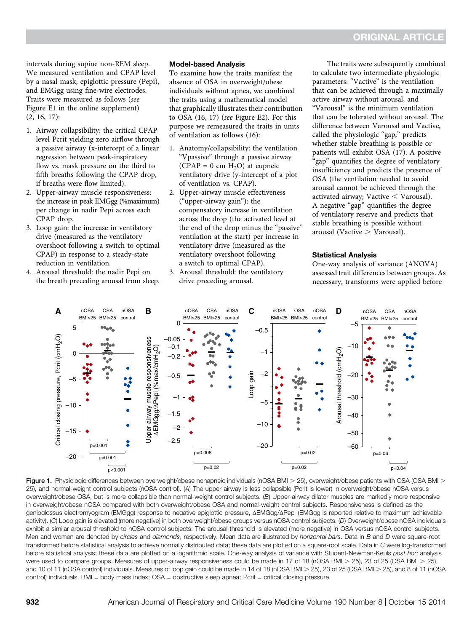intervals during supine non-REM sleep. We measured ventilation and CPAP level by a nasal mask, epiglottic pressure (Pepi), and EMGgg using fine-wire electrodes. Traits were measured as follows (see Figure E1 in the online supplement) (2, 16, 17):

- 1. Airway collapsibility: the critical CPAP level Pcrit yielding zero airflow through a passive airway (x-intercept of a linear regression between peak-inspiratory flow vs. mask pressure on the third to fifth breaths following the CPAP drop, if breaths were flow limited).
- 2. Upper-airway muscle responsiveness: the increase in peak EMGgg (%maximum) per change in nadir Pepi across each CPAP drop.
- 3. Loop gain: the increase in ventilatory drive (measured as the ventilatory overshoot following a switch to optimal CPAP) in response to a steady-state reduction in ventilation.
- 4. Arousal threshold: the nadir Pepi on the breath preceding arousal from sleep.

#### Model-based Analysis

To examine how the traits manifest the absence of OSA in overweight/obese individuals without apnea, we combined the traits using a mathematical model that graphically illustrates their contribution to OSA (16, 17) (see Figure E2). For this purpose we remeasured the traits in units of ventilation as follows (16):

- 1. Anatomy/collapsibility: the ventilation "Vpassive" through a passive airway (CPAP = 0 cm  $H_2O$ ) at eupneic ventilatory drive (y-intercept of a plot of ventilation vs. CPAP).
- 2. Upper-airway muscle effectiveness ("upper-airway gain"): the compensatory increase in ventilation across the drop (the activated level at the end of the drop minus the "passive" ventilation at the start) per increase in ventilatory drive (measured as the ventilatory overshoot following a switch to optimal CPAP).
- 3. Arousal threshold: the ventilatory drive preceding arousal.

The traits were subsequently combined to calculate two intermediate physiologic parameters: "Vactive" is the ventilation that can be achieved through a maximally active airway without arousal, and "Varousal" is the minimum ventilation that can be tolerated without arousal. The difference between Varousal and Vactive, called the physiologic "gap," predicts whether stable breathing is possible or patients will exhibit OSA (17). A positive 'gap" quantifies the degree of ventilatory insufficiency and predicts the presence of OSA (the ventilation needed to avoid arousal cannot be achieved through the activated airway; Vactive  $<$  Varousal). A negative "gap" quantifies the degree of ventilatory reserve and predicts that stable breathing is possible without arousal (Vactive  $>$  Varousal).

#### Statistical Analysis

One-way analysis of variance (ANOVA) assessed trait differences between groups. As necessary, transforms were applied before



Figure 1. Physiologic differences between overweight/obese nonapneic individuals (nOSA BMI > 25), overweight/obese patients with OSA (OSA BMI > 25), and normal-weight control subjects (nOSA control). (A) The upper airway is less collapsible (Pcrit is lower) in overweight/obese nOSA versus overweight/obese OSA, but is more collapsible than normal-weight control subjects. (B) Upper-airway dilator muscles are markedly more responsive in overweight/obese nOSA compared with both overweight/obese OSA and normal-weight control subjects. Responsiveness is defined as the genioglossus electromyogram (EMGgg) response to negative epiglottic pressure, ΔEMGgg/ΔPepi (EMGgg is reported relative to maximum achievable activity). (C) Loop gain is elevated (more negative) in both overweight/obese groups versus nOSA control subjects. (D) Overweight/obese nOSA individuals exhibit a similar arousal threshold to nOSA control subjects. The arousal threshold is elevated (more negative) in OSA versus nOSA control subjects. Men and women are denoted by circles and diamonds, respectively. Mean data are illustrated by horizontal bars. Data in B and D were square-root transformed before statistical analysis to achieve normally distributed data; these data are plotted on a square-root scale. Data in C were log-transformed before statistical analysis; these data are plotted on a logarithmic scale. One-way analysis of variance with Student-Newman-Keuls post hoc analysis were used to compare groups. Measures of upper-airway responsiveness could be made in 17 of 18 (nOSA BMI > 25), 23 of 25 (OSA BMI > 25), and 10 of 11 (nOSA control) individuals. Measures of loop gain could be made in 14 of 18 (nOSA BMI > 25), 23 of 25 (OSA BMI > 25), and 8 of 11 (nOSA control) individuals. BMI = body mass index; OSA = obstructive sleep apnea; Pcrit = critical closing pressure.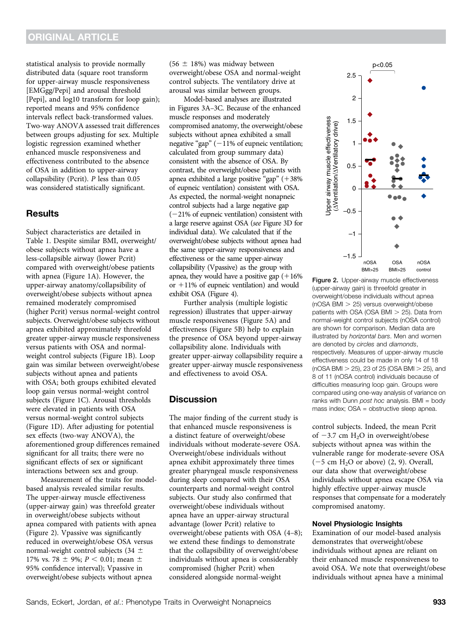statistical analysis to provide normally distributed data (square root transform for upper-airway muscle responsiveness [EMGgg/Pepi] and arousal threshold [Pepi], and log10 transform for loop gain); reported means and 95% confidence intervals reflect back-transformed values. Two-way ANOVA assessed trait differences between groups adjusting for sex. Multiple logistic regression examined whether enhanced muscle responsiveness and effectiveness contributed to the absence of OSA in addition to upper-airway collapsibility (Pcrit). P less than 0.05 was considered statistically significant.

## **Results**

Subject characteristics are detailed in Table 1. Despite similar BMI, overweight/ obese subjects without apnea have a less-collapsible airway (lower Pcrit) compared with overweight/obese patients with apnea (Figure 1A). However, the upper-airway anatomy/collapsibility of overweight/obese subjects without apnea remained moderately compromised (higher Pcrit) versus normal-weight control subjects. Overweight/obese subjects without apnea exhibited approximately threefold greater upper-airway muscle responsiveness versus patients with OSA and normalweight control subjects (Figure 1B). Loop gain was similar between overweight/obese subjects without apnea and patients with OSA; both groups exhibited elevated loop gain versus normal-weight control subjects (Figure 1C). Arousal thresholds were elevated in patients with OSA versus normal-weight control subjects (Figure 1D). After adjusting for potential sex effects (two-way ANOVA), the aforementioned group differences remained significant for all traits; there were no significant effects of sex or significant interactions between sex and group.

Measurement of the traits for modelbased analysis revealed similar results. The upper-airway muscle effectiveness (upper-airway gain) was threefold greater in overweight/obese subjects without apnea compared with patients with apnea (Figure 2). Vpassive was significantly reduced in overweight/obese OSA versus normal-weight control subjects (34  $\pm$ 17% vs. 78  $\pm$  9%; P < 0.01; mean  $\pm$ 95% confidence interval); Vpassive in overweight/obese subjects without apnea

(56  $\pm$  18%) was midway between overweight/obese OSA and normal-weight control subjects. The ventilatory drive at arousal was similar between groups.

Model-based analyses are illustrated in Figures 3A–3C. Because of the enhanced muscle responses and moderately compromised anatomy, the overweight/obese subjects without apnea exhibited a small negative "gap"  $(-11\%$  of eupneic ventilation; calculated from group summary data) consistent with the absence of OSA. By contrast, the overweight/obese patients with apnea exhibited a large positive "gap"  $(+38\%$ of eupneic ventilation) consistent with OSA. As expected, the normal-weight nonapneic control subjects had a large negative gap  $(-21%$  of eupneic ventilation) consistent with a large reserve against OSA (see Figure 3D for individual data). We calculated that if the overweight/obese subjects without apnea had the same upper-airway responsiveness and effectiveness or the same upper-airway collapsibility (Vpassive) as the group with apnea, they would have a positive gap  $(+16\%)$ or  $+11%$  of eupneic ventilation) and would exhibit OSA (Figure 4).

Further analysis (multiple logistic regression) illustrates that upper-airway muscle responsiveness (Figure 5A) and effectiveness (Figure 5B) help to explain the presence of OSA beyond upper-airway collapsibility alone. Individuals with greater upper-airway collapsibility require a greater upper-airway muscle responsiveness and effectiveness to avoid OSA.

## **Discussion**

The major finding of the current study is that enhanced muscle responsiveness is a distinct feature of overweight/obese individuals without moderate-severe OSA. Overweight/obese individuals without apnea exhibit approximately three times greater pharyngeal muscle responsiveness during sleep compared with their OSA counterparts and normal-weight control subjects. Our study also confirmed that overweight/obese individuals without apnea have an upper-airway structural advantage (lower Pcrit) relative to overweight/obese patients with OSA (4–8); we extend these findings to demonstrate that the collapsibility of overweight/obese individuals without apnea is considerably compromised (higher Pcrit) when considered alongside normal-weight



Figure 2. Upper-airway muscle effectiveness (upper-airway gain) is threefold greater in overweight/obese individuals without apnea ( $nOSA$  BMI  $>$  25) versus overweight/obese patients with OSA (OSA BMI  $>$  25). Data from normal-weight control subjects (nOSA control) are shown for comparison. Median data are illustrated by horizontal bars. Men and women are denoted by circles and diamonds, respectively. Measures of upper-airway muscle effectiveness could be made in only 14 of 18 (nOSA BMI  $>$  25), 23 of 25 (OSA BMI  $>$  25), and 8 of 11 (nOSA control) individuals because of difficulties measuring loop gain. Groups were compared using one-way analysis of variance on ranks with Dunn post hoc analysis. BMI = body mass index; OSA = obstructive sleep apnea.

control subjects. Indeed, the mean Pcrit of  $-3.7$  cm H<sub>2</sub>O in overweight/obese subjects without apnea was within the vulnerable range for moderate-severe OSA  $(-5 \text{ cm } H_2O \text{ or above})$  (2, 9). Overall, our data show that overweight/obese individuals without apnea escape OSA via highly effective upper-airway muscle responses that compensate for a moderately compromised anatomy.

#### Novel Physiologic Insights

Examination of our model-based analysis demonstrates that overweight/obese individuals without apnea are reliant on their enhanced muscle responsiveness to avoid OSA. We note that overweight/obese individuals without apnea have a minimal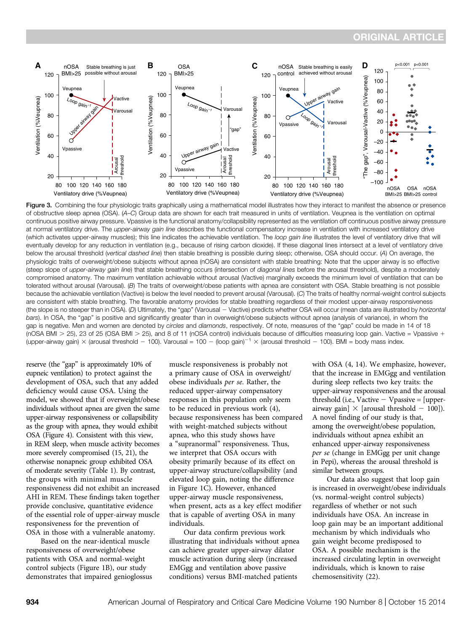

Figure 3. Combining the four physiologic traits graphically using a mathematical model illustrates how they interact to manifest the absence or presence of obstructive sleep apnea (OSA). (A–C) Group data are shown for each trait measured in units of ventilation. Veupnea is the ventilation on optimal continuous positive airway pressure. Vpassive is the functional anatomy/collapsibility represented as the ventilation off continuous positive airway pressure at normal ventilatory drive. The upper-airway gain line describes the functional compensatory increase in ventilation with increased ventilatory drive (which activates upper-airway muscles); this line indicates the achievable ventilation. The loop gain line illustrates the level of ventilatory drive that will eventually develop for any reduction in ventilation (e.g., because of rising carbon dioxide). If these diagonal lines intersect at a level of ventilatory drive below the arousal threshold (vertical dashed line) then stable breathing is possible during sleep; otherwise, OSA should occur. (A) On average, the physiologic traits of overweight/obese subjects without apnea (nOSA) are consistent with stable breathing: Note that the upper airway is so effective (steep slope of upper-airway gain line) that stable breathing occurs (intersection of diagonal lines before the arousal threshold), despite a moderately compromised anatomy. The maximum ventilation achievable without arousal (Vactive) marginally exceeds the minimum level of ventilation that can be tolerated without arousal (Varousal). (B) The traits of overweight/obese patients with apnea are consistent with OSA. Stable breathing is not possible because the achievable ventilation (Vactive) is below the level needed to prevent arousal (Varousal). (C) The traits of healthy normal-weight control subjects are consistent with stable breathing. The favorable anatomy provides for stable breathing regardless of their modest upper-airway responsiveness (the slope is no steeper than in OSA). (D) Ultimately, the "gap" (Varousal - Vactive) predicts whether OSA will occur (mean data are illustrated by horizontal bars). In OSA, the "gap" is positive and significantly greater than in overweight/obese subjects without apnea (analysis of variance), in whom the gap is negative. Men and women are denoted by circles and diamonds, respectively. Of note, measures of the "gap" could be made in 14 of 18 (nOSA BMI  $>$  25), 23 of 25 (OSA BMI  $>$  25), and 8 of 11 (nOSA control) individuals because of difficulties measuring loop gain. Vactive = Vpassive + (upper-airway gain)  $\times$  (arousal threshold - 100). Varousal = 100 - (loop gain)<sup>-1</sup>  $\times$  (arousal threshold - 100). BMI = body mass index.

reserve (the "gap" is approximately 10% of eupneic ventilation) to protect against the development of OSA, such that any added deficiency would cause OSA. Using the model, we showed that if overweight/obese individuals without apnea are given the same upper-airway responsiveness or collapsibility as the group with apnea, they would exhibit OSA (Figure 4). Consistent with this view, in REM sleep, when muscle activity becomes more severely compromised (15, 21), the otherwise nonapneic group exhibited OSA of moderate severity (Table 1). By contrast, the groups with minimal muscle responsiveness did not exhibit an increased AHI in REM. These findings taken together provide conclusive, quantitative evidence of the essential role of upper-airway muscle responsiveness for the prevention of OSA in those with a vulnerable anatomy.

Based on the near-identical muscle responsiveness of overweight/obese patients with OSA and normal-weight control subjects (Figure 1B), our study demonstrates that impaired genioglossus muscle responsiveness is probably not a primary cause of OSA in overweight/ obese individuals per se. Rather, the reduced upper-airway compensatory responses in this population only seem to be reduced in previous work (4), because responsiveness has been compared with weight-matched subjects without apnea, who this study shows have a "supranormal" responsiveness. Thus, we interpret that OSA occurs with obesity primarily because of its effect on upper-airway structure/collapsibility (and elevated loop gain, noting the difference in Figure 1C). However, enhanced upper-airway muscle responsiveness, when present, acts as a key effect modifier that is capable of averting OSA in many individuals.

Our data confirm previous work illustrating that individuals without apnea can achieve greater upper-airway dilator muscle activation during sleep (increased EMGgg and ventilation above passive conditions) versus BMI-matched patients

with OSA (4, 14). We emphasize, however, that the increase in EMGgg and ventilation during sleep reflects two key traits: the upper-airway responsiveness and the arousal threshold (i.e., Vactive  $-$  Vpassive  $=$  [upperairway gain]  $\times$  [arousal threshold - 100]). A novel finding of our study is that, among the overweight/obese population, individuals without apnea exhibit an enhanced upper-airway responsiveness per se (change in EMGgg per unit change in Pepi), whereas the arousal threshold is similar between groups.

Our data also suggest that loop gain is increased in overweight/obese individuals (vs. normal-weight control subjects) regardless of whether or not such individuals have OSA. An increase in loop gain may be an important additional mechanism by which individuals who gain weight become predisposed to OSA. A possible mechanism is the increased circulating leptin in overweight individuals, which is known to raise chemosensitivity (22).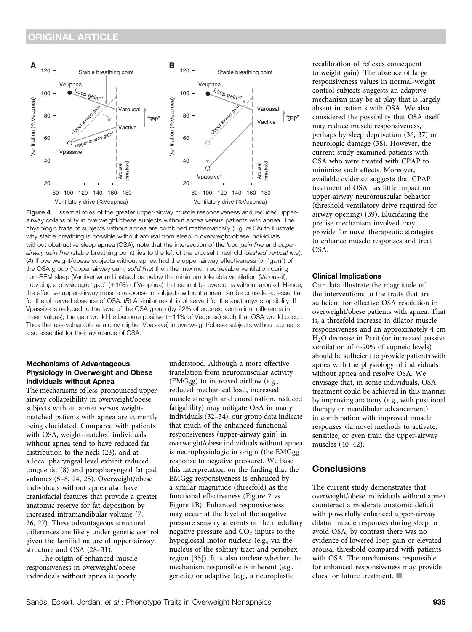

Figure 4. Essential roles of the greater upper-airway muscle responsiveness and reduced upperairway collapsibility in overweight/obese subjects without apnea versus patients with apnea. The physiologic traits of subjects without apnea are combined mathematically (Figure 3A) to illustrate why stable breathing is possible without arousal from sleep in overweight/obese individuals without obstructive sleep apnea (OSA); note that the intersection of the *loop gain line* and *upper*airway gain line (stable breathing point) lies to the left of the arousal threshold (dashed vertical line). (A) If overweight/obese subjects without apnea had the upper-airway effectiveness (or "gain") of the OSA group (\*upper-airway gain; solid line) then the maximum achievable ventilation during non-REM sleep (Vactive) would instead be below the minimum tolerable ventilation (Varousal), providing a physiologic "gap" (+16% of Veupnea) that cannot be overcome without arousal. Hence, the effective upper-airway muscle response in subjects without apnea can be considered essential for the observed absence of OSA. (B) A similar result is observed for the anatomy/collapsibility. If Vpassive is reduced to the level of the OSA group (by 22% of eupneic ventilation; difference in mean values), the gap would be become positive  $(+11\%$  of Veupnea) such that OSA would occur. Thus the less-vulnerable anatomy (higher Vpassive) in overweight/obese subjects without apnea is also essential for their avoidance of OSA.

#### Mechanisms of Advantageous Physiology in Overweight and Obese Individuals without Apnea

The mechanisms of less-pronounced upperairway collapsibility in overweight/obese subjects without apnea versus weightmatched patients with apnea are currently being elucidated. Compared with patients with OSA, weight-matched individuals without apnea tend to have reduced fat distribution to the neck (23), and at a local pharyngeal level exhibit reduced tongue fat (8) and parapharyngeal fat pad volumes (5–8, 24, 25). Overweight/obese individuals without apnea also have craniofacial features that provide a greater anatomic reserve for fat deposition by increased intramandibular volume (7, 26, 27). These advantageous structural differences are likely under genetic control given the familial nature of upper-airway structure and OSA (28–31).

The origin of enhanced muscle responsiveness in overweight/obese individuals without apnea is poorly

understood. Although a more-effective translation from neuromuscular activity (EMGgg) to increased airflow (e.g., reduced mechanical load, increased muscle strength and coordination, reduced fatigability) may mitigate OSA in many individuals (32–34), our group data indicate that much of the enhanced functional responsiveness (upper-airway gain) in overweight/obese individuals without apnea is neurophysiologic in origin (the EMGgg response to negative pressure). We base this interpretation on the finding that the EMGgg responsiveness is enhanced by a similar magnitude (threefold) as the functional effectiveness (Figure 2 vs. Figure 1B). Enhanced responsiveness may occur at the level of the negative pressure sensory afferents or the medullary negative pressure and  $CO<sub>2</sub>$  inputs to the hypoglossal motor nucleus (e.g., via the nucleus of the solitary tract and periobex region [35]). It is also unclear whether the mechanism responsible is inherent (e.g., genetic) or adaptive (e.g., a neuroplastic

recalibration of reflexes consequent to weight gain). The absence of large responsiveness values in normal-weight control subjects suggests an adaptive mechanism may be at play that is largely absent in patients with OSA. We also considered the possibility that OSA itself may reduce muscle responsiveness, perhaps by sleep deprivation (36, 37) or neurologic damage (38). However, the current study examined patients with OSA who were treated with CPAP to minimize such effects. Moreover, available evidence suggests that CPAP treatment of OSA has little impact on upper-airway neuromuscular behavior (threshold ventilatory drive required for airway opening) (39). Elucidating the precise mechanism involved may provide for novel therapeutic strategies to enhance muscle responses and treat OSA.

#### Clinical Implications

Our data illustrate the magnitude of the interventions to the traits that are sufficient for effective OSA resolution in overweight/obese patients with apnea. That is, a threefold increase in dilator muscle responsiveness and an approximately 4 cm H2O decrease in Pcrit (or increased passive ventilation of  $\sim$ 20% of eupneic levels) should be sufficient to provide patients with apnea with the physiology of individuals without apnea and resolve OSA. We envisage that, in some individuals, OSA treatment could be achieved in this manner by improving anatomy (e.g., with positional therapy or mandibular advancement) in combination with improved muscle responses via novel methods to activate, sensitize, or even train the upper-airway muscles (40–42).

## **Conclusions**

The current study demonstrates that overweight/obese individuals without apnea counteract a moderate anatomic deficit with powerfully enhanced upper-airway dilator muscle responses during sleep to avoid OSA; by contrast there was no evidence of lowered loop gain or elevated arousal threshold compared with patients with OSA. The mechanisms responsible for enhanced responsiveness may provide clues for future treatment.  $\blacksquare$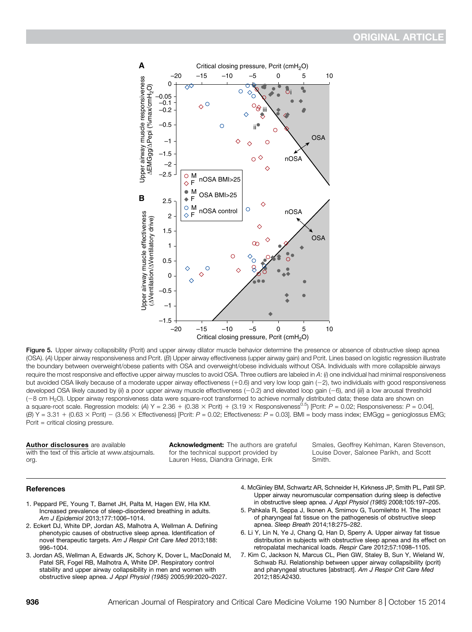

Figure 5. Upper airway collapsibility (Pcrit) and upper airway dilator muscle behavior determine the presence or absence of obstructive sleep apnea (OSA). (A) Upper airway responsiveness and Pcrit. (B) Upper airway effectiveness (upper airway gain) and Pcrit. Lines based on logistic regression illustrate the boundary between overweight/obese patients with OSA and overweight/obese individuals without OSA. Individuals with more collapsible airways require the most responsive and effective upper airway muscles to avoid OSA. Three outliers are labeled in A: (i) one individual had minimal responsiveness but avoided OSA likely because of a moderate upper airway effectiveness  $(+0.6)$  and very low loop gain  $(-2)$ , two individuals with good responsiveness developed OSA likely caused by (ii) a poor upper airway muscle effectiveness  $(-0.2)$  and elevated loop gain  $(-6)$ , and (iii) a low arousal threshold (28 cm H2O). Upper airway responsiveness data were square-root transformed to achieve normally distributed data; these data are shown on a square-root scale. Regression models: (A) Y = 2.36 + (0.38  $\times$  Pcrit) + (3.19  $\times$  Responsiveness<sup>0.5</sup>) [Pcrit: P = 0.02; Responsiveness: P = 0.04],  $(B)$  Y = 3.31 + (0.63 × Pcrit) - (3.56 × Effectiveness) [Pcrit: P = 0.02; Effectiveness: P = 0.03]. BMI = body mass index; EMGgg = genioglossus EMG; Pcrit = critical closing pressure.

#### Author disclosures are available

with the text of this article at www.atsjournals. org.

Acknowledgment: The authors are grateful for the technical support provided by Lauren Hess, Diandra Grinage, Erik

Smales, Geoffrey Kehlman, Karen Stevenson, Louise Dover, Salonee Parikh, and Scott Smith.

#### **References**

- 1. Peppard PE, Young T, Barnet JH, Palta M, Hagen EW, Hla KM. Increased prevalence of sleep-disordered breathing in adults. Am J Epidemiol 2013;177:1006–1014.
- 2. Eckert DJ, White DP, Jordan AS, Malhotra A, Wellman A. Defining phenotypic causes of obstructive sleep apnea. Identification of novel therapeutic targets. Am J Respir Crit Care Med 2013;188: 996–1004.
- 3. Jordan AS, Wellman A, Edwards JK, Schory K, Dover L, MacDonald M, Patel SR, Fogel RB, Malhotra A, White DP. Respiratory control stability and upper airway collapsibility in men and women with obstructive sleep apnea. J Appl Physiol (1985) 2005;99:2020–2027.
- 4. McGinley BM, Schwartz AR, Schneider H, Kirkness JP, Smith PL, Patil SP. Upper airway neuromuscular compensation during sleep is defective in obstructive sleep apnea. J Appl Physiol (1985) 2008;105:197–205.
- 5. Pahkala R, Seppa J, Ikonen A, Smirnov G, Tuomilehto H. The impact of pharyngeal fat tissue on the pathogenesis of obstructive sleep apnea. Sleep Breath 2014;18:275–282.
- 6. Li Y, Lin N, Ye J, Chang Q, Han D, Sperry A. Upper airway fat tissue distribution in subjects with obstructive sleep apnea and its effect on retropalatal mechanical loads. Respir Care 2012;57:1098–1105.
- 7. Kim C, Jackson N, Marcus CL, Pien GW, Staley B, Sun Y, Wieland W, Schwab RJ. Relationship between upper airway collapsibility (pcrit) and pharyngeal structures [abstract]. Am J Respir Crit Care Med 2012;185:A2430.